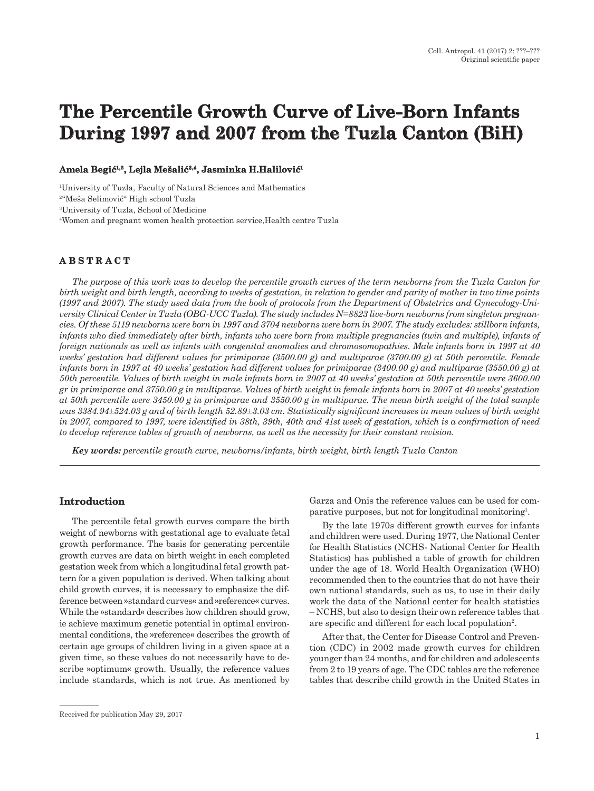# **The Percentile Growth Curve of Live-Born Infants During 1997 and 2007 from the Tuzla Canton (BiH)**

#### **Amela Begić1,2, Lejla Mešalić3,4, Jasminka H.Halilović<sup>1</sup>**

1 University of Tuzla, Faculty of Natural Sciences and Mathematics

<sup>2</sup>"Meša Selimović" High school Tuzla

3 University of Tuzla, School of Medicine

4 Women and pregnant women health protection service,Health centre Tuzla

# **A B S T R A C T**

*The purpose of this work was to develop the percentile growth curves of the term newborns from the Tuzla Canton for birth weight and birth length, according to weeks of gestation, in relation to gender and parity of mother in two time points (1997 and 2007). The study used data from the book of protocols from the Department of Obstetrics and Gynecology-University Clinical Center in Tuzla (OBG-UCC Tuzla). The study includes N=8823 live-born newborns from singleton pregnancies. Of these 5119 newborns were born in 1997 and 3704 newborns were born in 2007. The study excludes: stillborn infants, infants who died immediately after birth, infants who were born from multiple pregnancies (twin and multiple), infants of foreign nationals as well as infants with congenital anomalies and chromosomopathies. Male infants born in 1997 at 40 weeks' gestation had different values for primiparae (3500.00 g) and multiparae (3700.00 g) at 50th percentile. Female infants born in 1997 at 40 weeks' gestation had different values for primiparae (3400.00 g) and multiparae (3550.00 g) at 50th percentile. Values of birth weight in male infants born in 2007 at 40 weeks' gestation at 50th percentile were 3600.00 gr in primiparae and 3750.00 g in multiparae. Values of birth weight in female infants born in 2007 at 40 weeks' gestation at 50th percentile were 3450.00 g in primiparae and 3550.00 g in multiparae. The mean birth weight of the total sample was 3384.94±524.03 g and of birth length 52.89±3.03 cm. Statistically significant increases in mean values of birth weight in 2007, compared to 1997, were identified in 38th, 39th, 40th and 41st week of gestation, which is a confirmation of need to develop reference tables of growth of newborns, as well as the necessity for their constant revision.*

*Key words: percentile growth curve, newborns/infants, birth weight, birth length Tuzla Canton*

#### **Introduction**

The percentile fetal growth curves compare the birth weight of newborns with gestational age to evaluate fetal growth performance. The basis for generating percentile growth curves are data on birth weight in each completed gestation week from which a longitudinal fetal growth pattern for a given population is derived. When talking about child growth curves, it is necessary to emphasize the difference between »standard curves« and »reference« curves. While the »standard« describes how children should grow, ie achieve maximum genetic potential in optimal environmental conditions, the »reference« describes the growth of certain age groups of children living in a given space at a given time, so these values do not necessarily have to describe »optimum« growth. Usually, the reference values include standards, which is not true. As mentioned by Garza and Onis the reference values can be used for comparative purposes, but not for longitudinal monitoring<sup>1</sup>.

By the late 1970s different growth curves for infants and children were used. During 1977, the National Center for Health Statistics (NCHS- National Center for Health Statistics) has published a table of growth for children under the age of 18. World Health Organization (WHO) recommended then to the countries that do not have their own national standards, such as us, to use in their daily work the data of the National center for health statistics – NCHS, but also to design their own reference tables that are specific and different for each local population2.

After that, the Center for Disease Control and Prevention (CDC) in 2002 made growth curves for children younger than 24 months, and for children and adolescents from 2 to 19 years of age. The CDC tables are the reference tables that describe child growth in the United States in

Received for publication May 29, 2017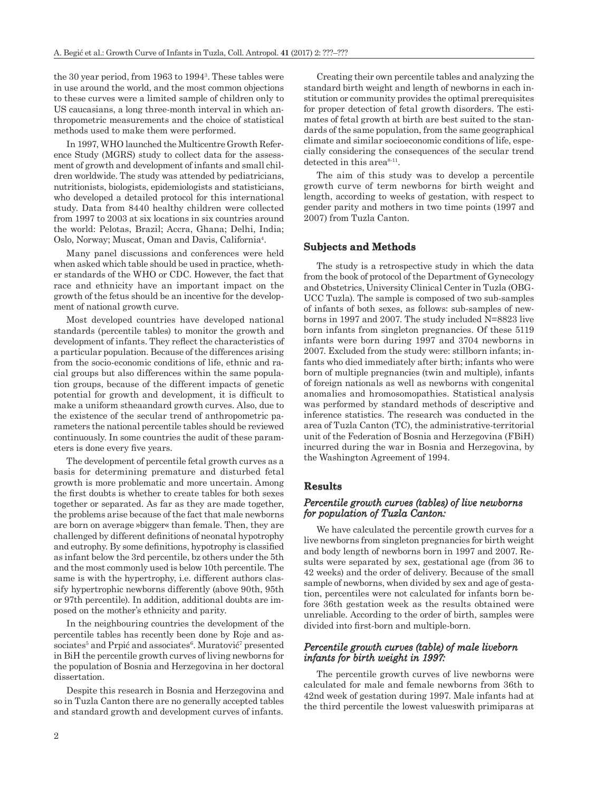the 30 year period, from 1963 to 1994<sup>3</sup>. These tables were in use around the world, and the most common objections to these curves were a limited sample of children only to US caucasians, a long three-month interval in which anthropometric measurements and the choice of statistical methods used to make them were performed.

In 1997, WHO launched the Multicentre Growth Reference Study (MGRS) study to collect data for the assessment of growth and development of infants and small children worldwide. The study was attended by pediatricians, nutritionists, biologists, epidemiologists and statisticians, who developed a detailed protocol for this international study. Data from 8440 healthy children were collected from 1997 to 2003 at six locations in six countries around the world: Pelotas, Brazil; Accra, Ghana; Delhi, India; Oslo, Norway; Muscat, Oman and Davis, California4.

Many panel discussions and conferences were held when asked which table should be used in practice, whether standards of the WHO or CDC. However, the fact that race and ethnicity have an important impact on the growth of the fetus should be an incentive for the development of national growth curve.

Most developed countries have developed national standards (percentile tables) to monitor the growth and development of infants. They reflect the characteristics of a particular population. Because of the differences arising from the socio-economic conditions of life, ethnic and racial groups but also differences within the same population groups, because of the different impacts of genetic potential for growth and development, it is difficult to make a uniform stheaandard growth curves. Also, due to the existence of the secular trend of anthropometric parameters the national percentile tables should be reviewed continuously. In some countries the audit of these parameters is done every five years.

The development of percentile fetal growth curves as a basis for determining premature and disturbed fetal growth is more problematic and more uncertain. Among the first doubts is whether to create tables for both sexes together or separated. As far as they are made together, the problems arise because of the fact that male newborns are born on average »bigger« than female. Then, they are challenged by different definitions of neonatal hypotrophy and eutrophy. By some definitions, hypotrophy is classified as infant below the 3rd percentile, bz others under the 5th and the most commonly used is below 10th percentile. The same is with the hypertrophy, i.e. different authors classify hypertrophic newborns differently (above 90th, 95th or 97th percentile). In addition, additional doubts are imposed on the mother's ethnicity and parity.

In the neighbouring countries the development of the percentile tables has recently been done by Roje and associates<sup>5</sup> and Prpić and associates<sup>6</sup>. Muratović<sup>7</sup> presented in BiH the percentile growth curves of living newborns for the population of Bosnia and Herzegovina in her doctoral dissertation.

Despite this research in Bosnia and Herzegovina and so in Tuzla Canton there are no generally accepted tables and standard growth and development curves of infants.

Creating their own percentile tables and analyzing the standard birth weight and length of newborns in each institution or community provides the optimal prerequisites for proper detection of fetal growth disorders. The estimates of fetal growth at birth are best suited to the standards of the same population, from the same geographical climate and similar socioeconomic conditions of life, especially considering the consequences of the secular trend detected in this area<sup>8-11</sup>.

The aim of this study was to develop a percentile growth curve of term newborns for birth weight and length, according to weeks of gestation, with respect to gender parity and mothers in two time points (1997 and 2007) from Tuzla Canton.

#### **Subjects and Methods**

The study is a retrospective study in which the data from the book of protocol of the Department of Gynecology and Obstetrics, University Clinical Center in Tuzla (OBG-UCC Tuzla). The sample is composed of two sub-samples of infants of both sexes, as follows: sub-samples of newborns in 1997 and 2007. The study included N=8823 live born infants from singleton pregnancies. Of these 5119 infants were born during 1997 and 3704 newborns in 2007. Excluded from the study were: stillborn infants; infants who died immediately after birth; infants who were born of multiple pregnancies (twin and multiple), infants of foreign nationals as well as newborns with congenital anomalies and hromosomopathies. Statistical analysis was performed by standard methods of descriptive and inference statistics. The research was conducted in the area of Tuzla Canton (TC), the administrative-territorial unit of the Federation of Bosnia and Herzegovina (FBiH) incurred during the war in Bosnia and Herzegovina, by the Washington Agreement of 1994.

#### **Results**

#### *Percentile growth curves (tables) of live newborns for population of Tuzla Canton:*

We have calculated the percentile growth curves for a live newborns from singleton pregnancies for birth weight and body length of newborns born in 1997 and 2007. Results were separated by sex, gestational age (from 36 to 42 weeks) and the order of delivery. Because of the small sample of newborns, when divided by sex and age of gestation, percentiles were not calculated for infants born before 36th gestation week as the results obtained were unreliable. According to the order of birth, samples were divided into first-born and multiple-born.

#### *Percentile growth curves (table) of male liveborn infants for birth weight in 1997:*

The percentile growth curves of live newborns were calculated for male and female newborns from 36th to 42nd week of gestation during 1997. Male infants had at the third percentile the lowest valueswith primiparas at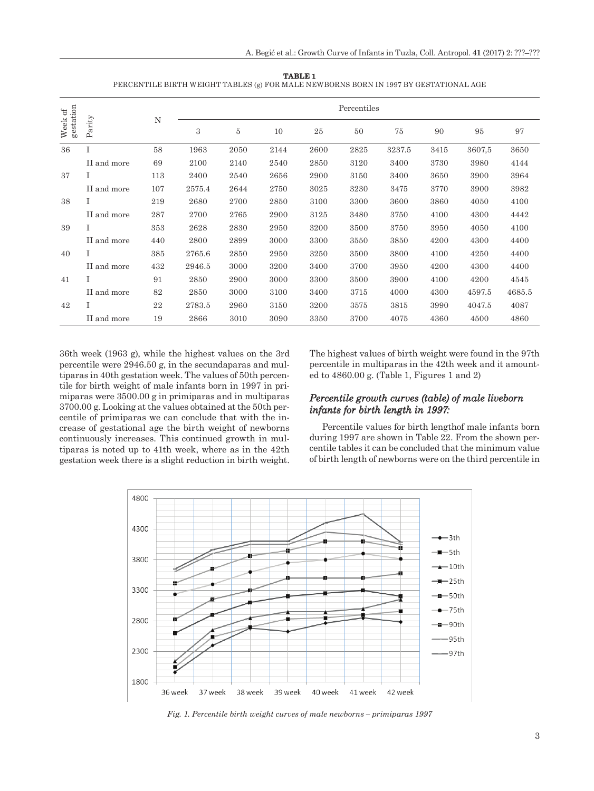| TABLE <sub>1</sub>                                                                   |  |
|--------------------------------------------------------------------------------------|--|
| PERCENTILE BIRTH WEIGHT TABLES (g) FOR MALE NEWBORNS BORN IN 1997 BY GESTATIONAL AGE |  |

| $\sigma$          |                | N   |        |      |      |      | Percentiles |        |      |        |        |
|-------------------|----------------|-----|--------|------|------|------|-------------|--------|------|--------|--------|
| gestation<br>Week | ${\rm Parity}$ |     | 3      | 5    | 10   | 25   | 50          | 75     | 90   | 95     | 97     |
| 36                | T              | 58  | 1963   | 2050 | 2144 | 2600 | 2825        | 3237.5 | 3415 | 3607.5 | 3650   |
|                   | II and more    | 69  | 2100   | 2140 | 2540 | 2850 | 3120        | 3400   | 3730 | 3980   | 4144   |
| 37                | Ι              | 113 | 2400   | 2540 | 2656 | 2900 | 3150        | 3400   | 3650 | 3900   | 3964   |
|                   | II and more    | 107 | 2575.4 | 2644 | 2750 | 3025 | 3230        | 3475   | 3770 | 3900   | 3982   |
| 38                | T              | 219 | 2680   | 2700 | 2850 | 3100 | 3300        | 3600   | 3860 | 4050   | 4100   |
|                   | II and more    | 287 | 2700   | 2765 | 2900 | 3125 | 3480        | 3750   | 4100 | 4300   | 4442   |
| 39                | T              | 353 | 2628   | 2830 | 2950 | 3200 | 3500        | 3750   | 3950 | 4050   | 4100   |
|                   | II and more    | 440 | 2800   | 2899 | 3000 | 3300 | 3550        | 3850   | 4200 | 4300   | 4400   |
| 40                |                | 385 | 2765.6 | 2850 | 2950 | 3250 | 3500        | 3800   | 4100 | 4250   | 4400   |
|                   | II and more    | 432 | 2946.5 | 3000 | 3200 | 3400 | 3700        | 3950   | 4200 | 4300   | 4400   |
| 41                | Ι              | 91  | 2850   | 2900 | 3000 | 3300 | 3500        | 3900   | 4100 | 4200   | 4545   |
|                   | II and more    | 82  | 2850   | 3000 | 3100 | 3400 | 3715        | 4000   | 4300 | 4597.5 | 4685.5 |
| 42                | Ι              | 22  | 2783.5 | 2960 | 3150 | 3200 | 3575        | 3815   | 3990 | 4047.5 | 4087   |
|                   | II and more    | 19  | 2866   | 3010 | 3090 | 3350 | 3700        | 4075   | 4360 | 4500   | 4860   |

36th week (1963 g), while the highest values on the 3rd percentile were 2946.50 g, in the secundaparas and multiparas in 40th gestation week. The values of 50th percentile for birth weight of male infants born in 1997 in primiparas were 3500.00 g in primiparas and in multiparas 3700.00 g. Looking at the values obtained at the 50th percentile of primiparas we can conclude that with the increase of gestational age the birth weight of newborns continuously increases. This continued growth in multiparas is noted up to 41th week, where as in the 42th gestation week there is a slight reduction in birth weight. The highest values of birth weight were found in the 97th percentile in multiparas in the 42th week and it amounted to 4860.00 g. (Table 1, Figures 1 and 2)

# *Percentile growth curves (table) of male liveborn infants for birth length in 1997:*

Percentile values for birth lengthof male infants born during 1997 are shown in Table 22. From the shown percentile tables it can be concluded that the minimum value of birth length of newborns were on the third percentile in



*Fig. 1. Percentile birth weight curves of male newborns – primiparas 1997*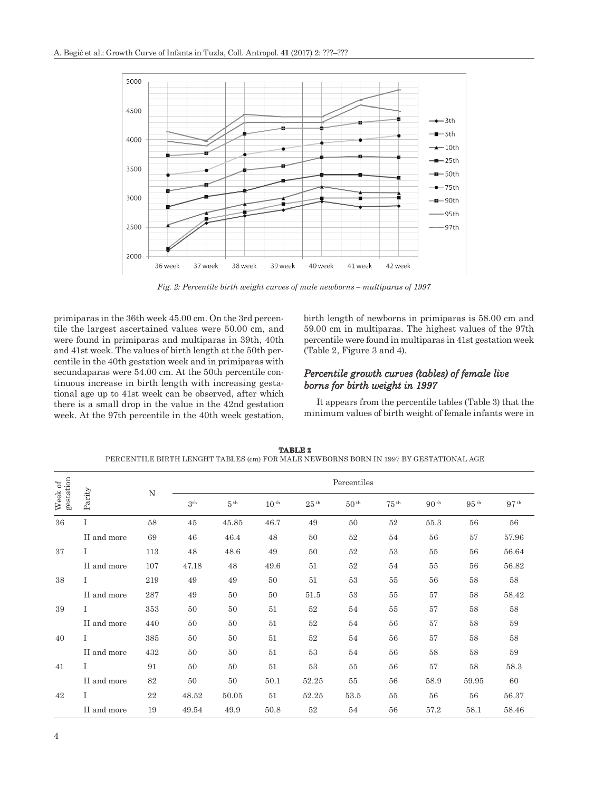

*Fig. 2: Percentile birth weight curves of male newborns – multiparas of 1997*

primiparas in the 36th week 45.00 cm. On the 3rd percentile the largest ascertained values were 50.00 cm, and were found in primiparas and multiparas in 39th, 40th and 41st week. The values of birth length at the 50th percentile in the 40th gestation week and in primiparas with secundaparas were 54.00 cm. At the 50th percentile continuous increase in birth length with increasing gestational age up to 41st week can be observed, after which there is a small drop in the value in the 42nd gestation week. At the 97th percentile in the 40th week gestation, birth length of newborns in primiparas is 58.00 cm and 59.00 cm in multiparas. The highest values of the 97th percentile were found in multiparas in 41st gestation week (Table 2, Figure 3 and 4).

#### *Percentile growth curves (tables) of female live borns for birth weight in 1997*

It appears from the percentile tables (Table 3) that the minimum values of birth weight of female infants were in

|                      |             |        |                 |                 |                  |                  | Percentiles      |                  |                  |                  |                  |
|----------------------|-------------|--------|-----------------|-----------------|------------------|------------------|------------------|------------------|------------------|------------------|------------------|
| Week of<br>gestation | Parity      | N      | 3 <sup>th</sup> | $5^{\text{th}}$ | 10 <sup>th</sup> | 25 <sup>th</sup> | 50 <sup>th</sup> | $75^{\text{th}}$ | 90 <sup>th</sup> | $95^{\text{th}}$ | 97 <sup>th</sup> |
| 36                   | Ι           | $58\,$ | $45\,$          | $\rm 45.85$     | 46.7             | 49               | 50               | $52\,$           | 55.3             | 56               | 56               |
|                      | II and more | 69     | 46              | 46.4            | 48               | 50               | 52               | 54               | 56               | 57               | 57.96            |
| 37                   | Ι           | 113    | 48              | 48.6            | 49               | 50               | $52\,$           | 53               | 55               | 56               | 56.64            |
|                      | II and more | 107    | 47.18           | 48              | 49.6             | 51               | 52               | 54               | 55               | 56               | 56.82            |
| 38                   | Ι           | 219    | 49              | 49              | 50               | 51               | 53               | 55               | 56               | 58               | 58               |
|                      | II and more | 287    | 49              | 50              | 50               | 51.5             | 53               | 55               | 57               | 58               | 58.42            |
| 39                   |             | 353    | 50              | 50              | 51               | $52\,$           | 54               | 55               | 57               | 58               | 58               |
|                      | II and more | 440    | 50              | 50              | 51               | 52               | 54               | 56               | 57               | 58               | 59               |
| 40                   | Ι           | 385    | 50              | 50              | 51               | 52               | 54               | 56               | 57               | 58               | $58\,$           |
|                      | II and more | 432    | 50              | 50              | 51               | 53               | 54               | 56               | 58               | 58               | 59               |
| 41                   | $\mathbf I$ | 91     | 50              | 50              | 51               | 53               | 55               | 56               | 57               | 58               | 58.3             |
|                      | II and more | 82     | 50              | 50              | 50.1             | 52.25            | 55               | 56               | 58.9             | 59.95            | 60               |
| 42                   | T           | 22     | 48.52           | 50.05           | 51               | 52.25            | 53.5             | 55               | 56               | 56               | 56.37            |
|                      | II and more | 19     | 49.54           | 49.9            | 50.8             | $52\,$           | 54               | 56               | 57.2             | 58.1             | 58.46            |

**TABLE 2** PERCENTILE BIRTH LENGHT TABLES (cm) FOR MALE NEWBORNS BORN IN 1997 BY GESTATIONAL AGE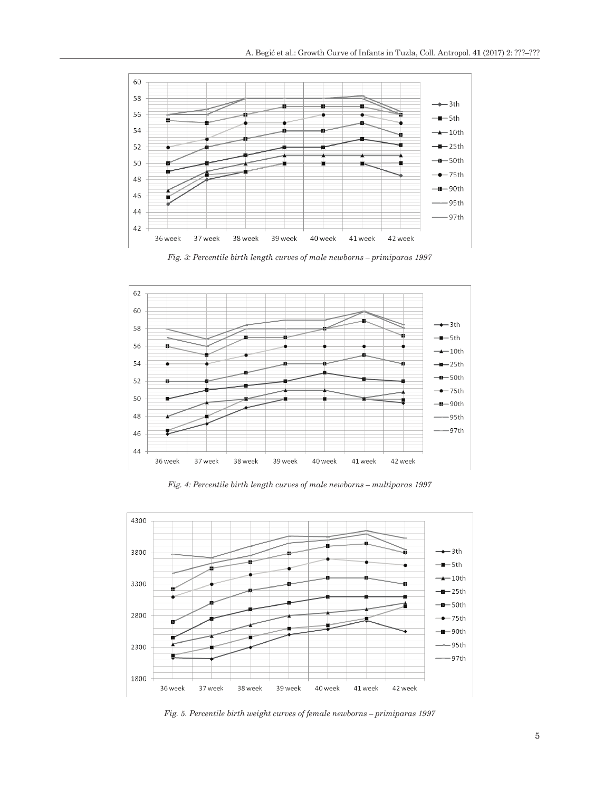

*Fig. 3: Percentile birth length curves of male newborns – primiparas 1997*



*Fig. 4: Percentile birth length curves of male newborns – multiparas 1997*



*Fig. 5. Percentile birth weight curves of female newborns – primiparas 1997*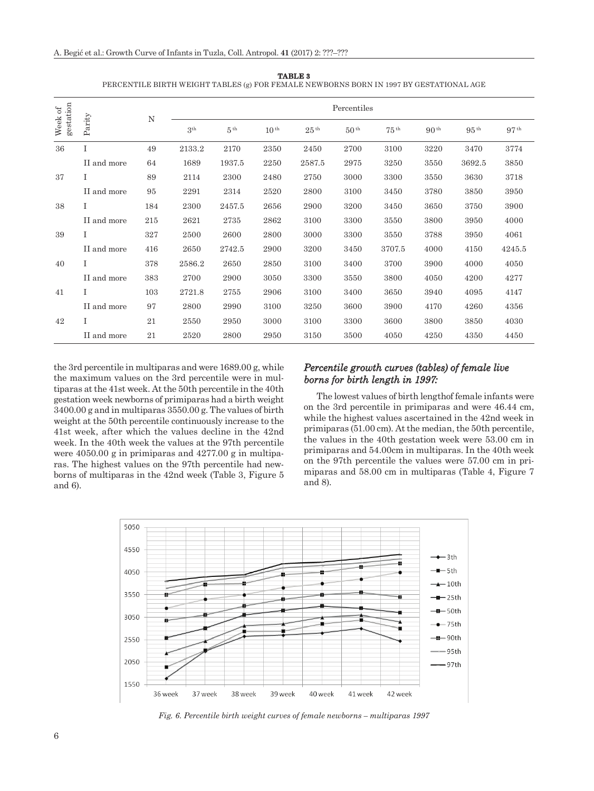|                                                         |             |     | PERCENTILE BIRTH WEIGHT TABLES (g) FOR FEMALE NEWBORNS BORN IN 1997 BY GESTATIONAL AGE |                 |                  |                  |                  |                  |                  |                  |                  |
|---------------------------------------------------------|-------------|-----|----------------------------------------------------------------------------------------|-----------------|------------------|------------------|------------------|------------------|------------------|------------------|------------------|
|                                                         |             |     |                                                                                        |                 |                  |                  | Percentiles      |                  |                  |                  |                  |
| gestation<br>Week of $% \left\vert \cdot \right\rangle$ | Parity      | N   | 3 <sup>th</sup>                                                                        | 5 <sup>th</sup> | 10 <sup>th</sup> | 25 <sup>th</sup> | 50 <sup>th</sup> | 75 <sup>th</sup> | 90 <sup>th</sup> | 95 <sup>th</sup> | 97 <sup>th</sup> |
| 36                                                      | T           | 49  | 2133.2                                                                                 | 2170            | 2350             | 2450             | 2700             | 3100             | 3220             | 3470             | 3774             |
|                                                         | II and more | 64  | 1689                                                                                   | 1937.5          | 2250             | 2587.5           | 2975             | 3250             | 3550             | 3692.5           | 3850             |
| 37                                                      | Ι           | 89  | 2114                                                                                   | 2300            | 2480             | 2750             | 3000             | 3300             | 3550             | 3630             | 3718             |
|                                                         | II and more | 95  | 2291                                                                                   | 2314            | 2520             | 2800             | 3100             | 3450             | 3780             | 3850             | 3950             |
| 38                                                      |             | 184 | 2300                                                                                   | 2457.5          | 2656             | 2900             | 3200             | 3450             | 3650             | 3750             | 3900             |
|                                                         | II and more | 215 | 2621                                                                                   | 2735            | 2862             | 3100             | 3300             | 3550             | 3800             | 3950             | 4000             |
| 39                                                      |             | 327 | 2500                                                                                   | 2600            | 2800             | 3000             | 3300             | 3550             | 3788             | 3950             | 4061             |
|                                                         | II and more | 416 | 2650                                                                                   | 2742.5          | 2900             | 3200             | 3450             | 3707.5           | 4000             | 4150             | 4245.5           |
| 40                                                      | Ι           | 378 | 2586.2                                                                                 | 2650            | 2850             | 3100             | 3400             | 3700             | 3900             | 4000             | 4050             |
|                                                         | II and more | 383 | 2700                                                                                   | 2900            | 3050             | 3300             | 3550             | 3800             | 4050             | 4200             | 4277             |
| 41                                                      | T           | 103 | 2721.8                                                                                 | 2755            | 2906             | 3100             | 3400             | 3650             | 3940             | 4095             | 4147             |
|                                                         | II and more | 97  | 2800                                                                                   | 2990            | 3100             | 3250             | 3600             | 3900             | 4170             | 4260             | 4356             |
| 42                                                      | Ι           | 21  | 2550                                                                                   | 2950            | 3000             | 3100             | 3300             | 3600             | 3800             | 3850             | 4030             |
|                                                         | II and more | 21  | 2520                                                                                   | 2800            | 2950             | 3150             | 3500             | 4050             | 4250             | 4350             | 4450             |

**TABLE 3** PERCENTILE BIRTH WEIGHT TABLES (g) FOR FEMALE NEWBORNS BORN IN 1997 BY GESTATIONAL AGE

the 3rd percentile in multiparas and were 1689.00 g, while the maximum values on the 3rd percentile were in multiparas at the 41st week. At the 50th percentile in the 40th gestation week newborns of primiparas had a birth weight 3400.00 g and in multiparas 3550.00 g. The values of birth weight at the 50th percentile continuously increase to the 41st week, after which the values decline in the 42nd week. In the 40th week the values at the 97th percentile were 4050.00 g in primiparas and 4277.00 g in multiparas. The highest values on the 97th percentile had newborns of multiparas in the 42nd week (Table 3, Figure 5 and 6).

# *Percentile growth curves (tables) of female live borns for birth length in 1997:*

The lowest values of birth lengthof female infants were on the 3rd percentile in primiparas and were 46.44 cm, while the highest values ascertained in the 42nd week in primiparas (51.00 cm). At the median, the 50th percentile, the values in the 40th gestation week were 53.00 cm in primiparas and 54.00cm in multiparas. In the 40th week on the 97th percentile the values were 57.00 cm in primiparas and 58.00 cm in multiparas (Table 4, Figure 7 and 8).



*Fig. 6. Percentile birth weight curves of female newborns – multiparas 1997*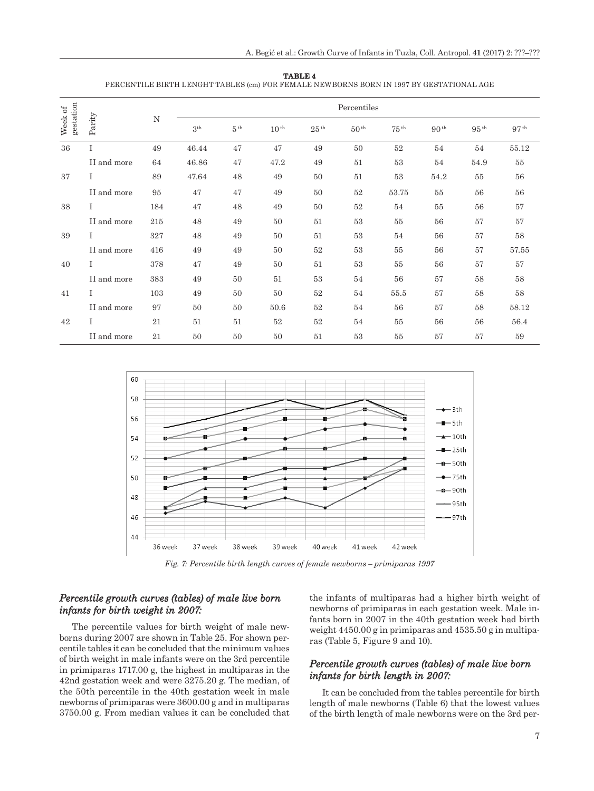|                      |             |     |                 |                 |           |                  | Percentiles      |                  |                  |                  |                  |
|----------------------|-------------|-----|-----------------|-----------------|-----------|------------------|------------------|------------------|------------------|------------------|------------------|
| gestation<br>Week of | Parity      | N   | 3 <sup>th</sup> | 5 <sup>th</sup> | $10^{th}$ | 25 <sup>th</sup> | 50 <sup>th</sup> | 75 <sup>th</sup> | 90 <sup>th</sup> | $95^{\text{th}}$ | 97 <sup>th</sup> |
| 36                   | I           | 49  | 46.44           | 47              | 47        | 49               | 50               | 52               | 54               | 54               | 55.12            |
|                      | II and more | 64  | 46.86           | 47              | 47.2      | 49               | 51               | 53               | 54               | 54.9             | 55               |
| 37                   | Ι           | 89  | 47.64           | 48              | 49        | 50               | 51               | 53               | 54.2             | 55               | 56               |
|                      | II and more | 95  | 47              | 47              | 49        | 50               | 52               | 53.75            | 55               | 56               | 56               |
| 38                   | Ι           | 184 | 47              | 48              | 49        | 50               | 52               | 54               | 55               | 56               | $57\,$           |
|                      | II and more | 215 | 48              | 49              | 50        | 51               | 53               | 55               | 56               | 57               | 57               |
| 39                   | Ι           | 327 | 48              | 49              | 50        | 51               | 53               | 54               | 56               | 57               | $58\,$           |
|                      | II and more | 416 | 49              | 49              | 50        | 52               | 53               | 55               | 56               | 57               | 57.55            |
| 40                   |             | 378 | 47              | 49              | 50        | 51               | 53               | 55               | 56               | 57               | 57               |
|                      | II and more | 383 | 49              | 50              | 51        | 53               | 54               | 56               | 57               | 58               | 58               |
| 41                   | T           | 103 | 49              | 50              | 50        | 52               | 54               | 55.5             | 57               | 58               | 58               |
|                      | II and more | 97  | 50              | 50              | 50.6      | 52               | 54               | 56               | 57               | 58               | 58.12            |
| 42                   | Ι           | 21  | 51              | 51              | 52        | 52               | 54               | 55               | 56               | 56               | 56.4             |
|                      | II and more | 21  | 50              | 50              | 50        | 51               | 53               | 55               | 57               | 57               | 59               |





*Fig. 7: Percentile birth length curves of female newborns – primiparas 1997*

#### *Percentile growth curves (tables) of male live born infants for birth weight in 2007:*

The percentile values for birth weight of male newborns during 2007 are shown in Table 25. For shown percentile tables it can be concluded that the minimum values of birth weight in male infants were on the 3rd percentile in primiparas 1717.00 g, the highest in multiparas in the 42nd gestation week and were 3275.20 g. The median, of the 50th percentile in the 40th gestation week in male newborns of primiparas were 3600.00 g and in multiparas 3750.00 g. From median values it can be concluded that the infants of multiparas had a higher birth weight of newborns of primiparas in each gestation week. Male infants born in 2007 in the 40th gestation week had birth weight 4450.00 g in primiparas and 4535.50 g in multiparas (Table 5, Figure 9 and 10).

### *Percentile growth curves (tables) of male live born infants for birth length in 2007:*

It can be concluded from the tables percentile for birth length of male newborns (Table 6) that the lowest values of the birth length of male newborns were on the 3rd per-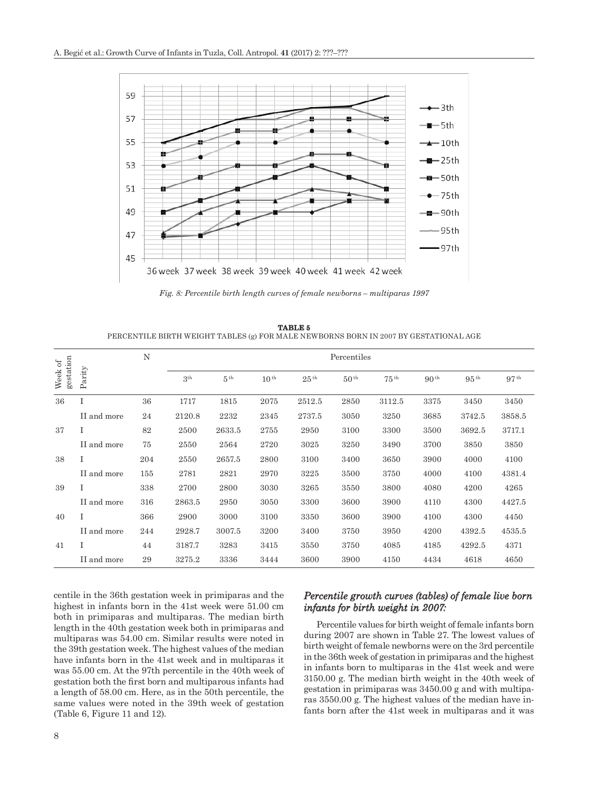

*Fig. 8: Percentile birth length curves of female newborns – multiparas 1997*

**TABLE 5** PERCENTILE BIRTH WEIGHT TABLES (g) FOR MALE NEWBORNS BORN IN 2007 BY GESTATIONAL AGE

|                      |             | N   |                 |                 |                  |                  | Percentiles      |                  |                  |                  |                  |
|----------------------|-------------|-----|-----------------|-----------------|------------------|------------------|------------------|------------------|------------------|------------------|------------------|
| gestation<br>Week of | Parity      |     | 3 <sup>th</sup> | 5 <sup>th</sup> | 10 <sup>th</sup> | 25 <sup>th</sup> | 50 <sup>th</sup> | 75 <sup>th</sup> | 90 <sup>th</sup> | 95 <sup>th</sup> | 97 <sup>th</sup> |
| 36                   | I           | 36  | 1717            | 1815            | 2075             | 2512.5           | 2850             | 3112.5           | 3375             | 3450             | 3450             |
|                      | II and more | 24  | 2120.8          | 2232            | 2345             | 2737.5           | 3050             | 3250             | 3685             | 3742.5           | 3858.5           |
| 37                   | I           | 82  | 2500            | 2633.5          | 2755             | 2950             | 3100             | 3300             | 3500             | 3692.5           | 3717.1           |
|                      | II and more | 75  | 2550            | 2564            | 2720             | 3025             | 3250             | 3490             | 3700             | 3850             | 3850             |
| 38                   | I           | 204 | 2550            | 2657.5          | 2800             | 3100             | 3400             | 3650             | 3900             | 4000             | 4100             |
|                      | II and more | 155 | 2781            | 2821            | 2970             | 3225             | 3500             | 3750             | 4000             | 4100             | 4381.4           |
| 39                   | T           | 338 | 2700            | 2800            | 3030             | 3265             | 3550             | 3800             | 4080             | 4200             | 4265             |
|                      | II and more | 316 | 2863.5          | 2950            | 3050             | 3300             | 3600             | 3900             | 4110             | 4300             | 4427.5           |
| 40                   | I           | 366 | 2900            | 3000            | 3100             | 3350             | 3600             | 3900             | 4100             | 4300             | 4450             |
|                      | II and more | 244 | 2928.7          | 3007.5          | 3200             | 3400             | 3750             | 3950             | 4200             | 4392.5           | 4535.5           |
| 41                   | I           | 44  | 3187.7          | 3283            | 3415             | 3550             | 3750             | 4085             | 4185             | 4292.5           | 4371             |
|                      | II and more | 29  | 3275.2          | 3336            | 3444             | 3600             | 3900             | 4150             | 4434             | 4618             | 4650             |

centile in the 36th gestation week in primiparas and the highest in infants born in the 41st week were 51.00 cm both in primiparas and multiparas. The median birth length in the 40th gestation week both in primiparas and multiparas was 54.00 cm. Similar results were noted in the 39th gestation week. The highest values of the median have infants born in the 41st week and in multiparas it was 55.00 cm. At the 97th percentile in the 40th week of gestation both the first born and multiparous infants had a length of 58.00 cm. Here, as in the 50th percentile, the same values were noted in the 39th week of gestation (Table 6, Figure 11 and 12).

# *Percentile growth curves (tables) of female live born infants for birth weight in 2007:*

Percentile values for birth weight of female infants born during 2007 are shown in Table 27. The lowest values of birth weight of female newborns were on the 3rd percentile in the 36th week of gestation in primiparas and the highest in infants born to multiparas in the 41st week and were 3150.00 g. The median birth weight in the 40th week of gestation in primiparas was 3450.00 g and with multiparas 3550.00 g. The highest values of the median have infants born after the 41st week in multiparas and it was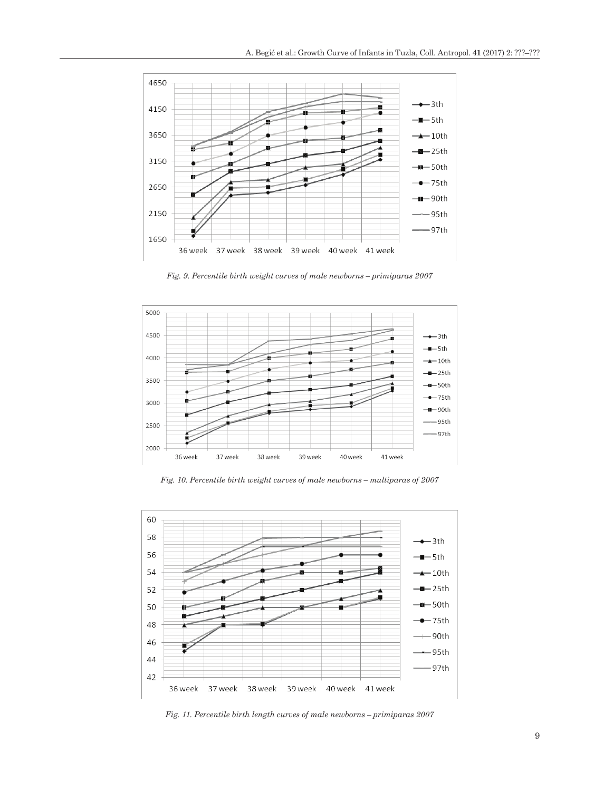

*Fig. 9. Percentile birth weight curves of male newborns – primiparas 2007*



*Fig. 10. Percentile birth weight curves of male newborns – multiparas of 2007*



*Fig. 11. Percentile birth length curves of male newborns – primiparas 2007*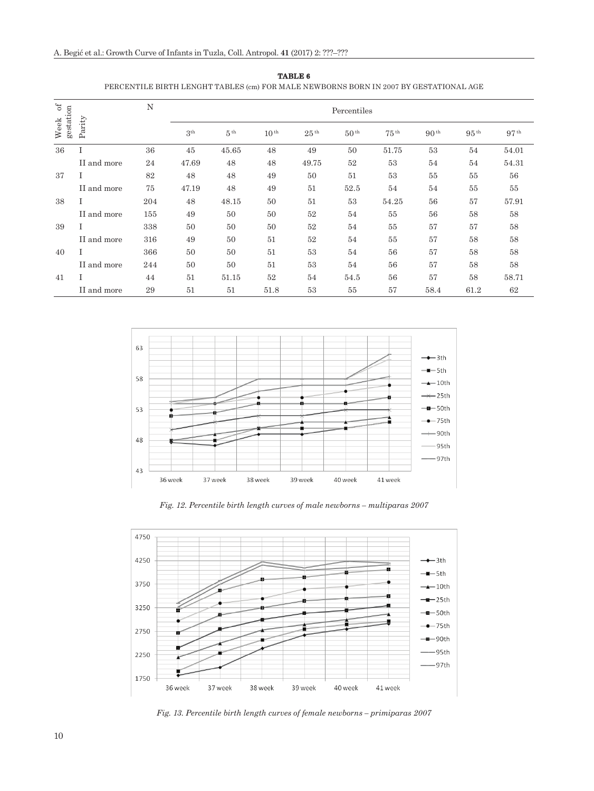| $_{\rm of}$<br>Week of<br>gestation |             | N   | Percentiles     |                 |                  |                  |                  |                  |                  |                  |                  |
|-------------------------------------|-------------|-----|-----------------|-----------------|------------------|------------------|------------------|------------------|------------------|------------------|------------------|
|                                     | Parity      |     | 3 <sup>th</sup> | 5 <sup>th</sup> | 10 <sup>th</sup> | 25 <sup>th</sup> | 50 <sup>th</sup> | $75^{\text{th}}$ | 90 <sup>th</sup> | 95 <sup>th</sup> | 97 <sup>th</sup> |
| 36                                  | Ι           | 36  | 45              | 45.65           | 48               | 49               | 50               | 51.75            | 53               | 54               | 54.01            |
|                                     | II and more | 24  | 47.69           | 48              | 48               | 49.75            | 52               | 53               | 54               | 54               | 54.31            |
| 37                                  |             | 82  | 48              | 48              | 49               | 50               | 51               | 53               | 55               | 55               | 56               |
|                                     | II and more | 75  | 47.19           | 48              | 49               | 51               | 52.5             | 54               | 54               | 55               | $55\,$           |
| 38                                  | Ι           | 204 | 48              | 48.15           | 50               | 51               | 53               | 54.25            | 56               | 57               | 57.91            |
|                                     | II and more | 155 | 49              | 50              | 50               | 52               | 54               | 55               | 56               | 58               | 58               |
| 39                                  | Ι           | 338 | 50              | 50              | 50               | 52               | 54               | 55               | 57               | 57               | $58\,$           |
|                                     | II and more | 316 | 49              | 50              | 51               | 52               | 54               | 55               | 57               | 58               | 58               |
| 40                                  |             | 366 | 50              | 50              | 51               | 53               | 54               | 56               | 57               | 58               | 58               |
|                                     | II and more | 244 | 50              | 50              | 51               | 53               | 54               | 56               | 57               | 58               | 58               |
| 41                                  | T           | 44  | 51              | 51.15           | 52               | 54               | 54.5             | 56               | 57               | 58               | 58.71            |
|                                     | II and more | 29  | 51              | 51              | 51.8             | 53               | 55               | 57               | 58.4             | 61.2             | 62               |



PERCENTILE BIRTH LENGHT TABLES (cm) FOR MALE NEWBORNS BORN IN 2007 BY GESTATIONAL AGE



*Fig. 12. Percentile birth length curves of male newborns – multiparas 2007*



*Fig. 13. Percentile birth length curves of female newborns – primiparas 2007*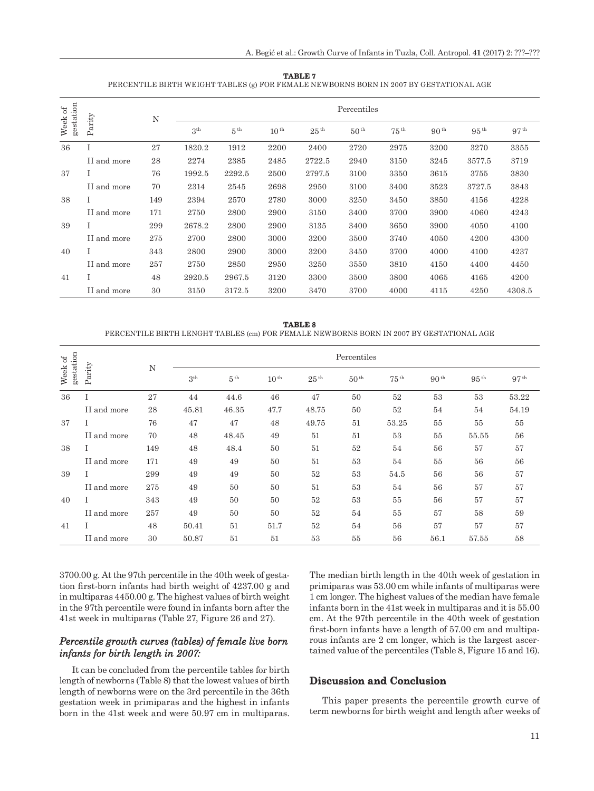| TABLE 7                                                                                |
|----------------------------------------------------------------------------------------|
| PERCENTILE BIRTH WEIGHT TABLES (g) FOR FEMALE NEWBORNS BORN IN 2007 BY GESTATIONAL AGE |

| gestation<br>Week of |             |     | Percentiles<br>N |                 |           |                  |                  |                  |                  |                  |                  |
|----------------------|-------------|-----|------------------|-----------------|-----------|------------------|------------------|------------------|------------------|------------------|------------------|
|                      | Parity      |     | 3 <sup>th</sup>  | 5 <sup>th</sup> | $10^{th}$ | 25 <sup>th</sup> | 50 <sup>th</sup> | $75^{\text{th}}$ | 90 <sup>th</sup> | $95^{\text{th}}$ | 97 <sup>th</sup> |
| 36                   | I           | 27  | 1820.2           | 1912            | 2200      | 2400             | 2720             | 2975             | 3200             | 3270             | 3355             |
|                      | II and more | 28  | 2274             | 2385            | 2485      | 2722.5           | 2940             | 3150             | 3245             | 3577.5           | 3719             |
| 37                   |             | 76  | 1992.5           | 2292.5          | 2500      | 2797.5           | 3100             | 3350             | 3615             | 3755             | 3830             |
|                      | II and more | 70  | 2314             | 2545            | 2698      | 2950             | 3100             | 3400             | 3523             | 3727.5           | 3843             |
| 38                   |             | 149 | 2394             | 2570            | 2780      | 3000             | 3250             | 3450             | 3850             | 4156             | 4228             |
|                      | II and more | 171 | 2750             | 2800            | 2900      | 3150             | 3400             | 3700             | 3900             | 4060             | 4243             |
| 39                   | L           | 299 | 2678.2           | 2800            | 2900      | 3135             | 3400             | 3650             | 3900             | 4050             | 4100             |
|                      | II and more | 275 | 2700             | 2800            | 3000      | 3200             | 3500             | 3740             | 4050             | 4200             | 4300             |
| 40                   |             | 343 | 2800             | 2900            | 3000      | 3200             | 3450             | 3700             | 4000             | 4100             | 4237             |
|                      | II and more | 257 | 2750             | 2850            | 2950      | 3250             | 3550             | 3810             | 4150             | 4400             | 4450             |
| 41                   |             | 48  | 2920.5           | 2967.5          | 3120      | 3300             | 3500             | 3800             | 4065             | 4165             | 4200             |
|                      | II and more | 30  | 3150             | 3172.5          | 3200      | 3470             | 3700             | 4000             | 4115             | 4250             | 4308.5           |

|                                                                                         | <b>TABLE 8</b> |  |
|-----------------------------------------------------------------------------------------|----------------|--|
| PERCENTILE BIRTH LENGHT TABLES (cm) FOR FEMALE NEWBORNS BORN IN 2007 BY GESTATIONAL AGE |                |  |

| Week of<br>gestation |             | N   | Percentiles     |                 |           |                  |                  |                  |                  |                  |                  |
|----------------------|-------------|-----|-----------------|-----------------|-----------|------------------|------------------|------------------|------------------|------------------|------------------|
|                      | Parity      |     | 3 <sup>th</sup> | 5 <sup>th</sup> | $10^{th}$ | 25 <sup>th</sup> | 50 <sup>th</sup> | 75 <sup>th</sup> | 90 <sup>th</sup> | 95 <sup>th</sup> | 97 <sup>th</sup> |
| 36                   | Ι           | 27  | 44              | 44.6            | 46        | 47               | 50               | 52               | 53               | 53               | 53.22            |
|                      | II and more | 28  | 45.81           | 46.35           | 47.7      | 48.75            | 50               | 52               | 54               | 54               | 54.19            |
| 37                   | Ι           | 76  | 47              | 47              | 48        | 49.75            | 51               | 53.25            | 55               | 55               | 55               |
|                      | II and more | 70  | 48              | 48.45           | 49        | 51               | 51               | 53               | 55               | 55.55            | 56               |
| 38                   | Ι           | 149 | 48              | 48.4            | 50        | 51               | 52               | 54               | 56               | 57               | 57               |
|                      | II and more | 171 | 49              | 49              | 50        | 51               | 53               | 54               | 55               | 56               | 56               |
| 39                   | L           | 299 | 49              | 49              | 50        | 52               | 53               | 54.5             | 56               | 56               | 57               |
|                      | II and more | 275 | 49              | 50              | 50        | 51               | 53               | 54               | 56               | 57               | 57               |
| 40                   | L           | 343 | 49              | 50              | 50        | 52               | 53               | 55               | 56               | 57               | 57               |
|                      | II and more | 257 | 49              | 50              | 50        | 52               | 54               | 55               | 57               | 58               | 59               |
| 41                   | Ι           | 48  | 50.41           | 51              | 51.7      | 52               | 54               | 56               | 57               | 57               | 57               |
|                      | II and more | 30  | 50.87           | 51              | 51        | 53               | 55               | 56               | 56.1             | 57.55            | 58               |

3700.00 g. At the 97th percentile in the 40th week of gestation first-born infants had birth weight of 4237.00 g and in multiparas 4450.00 g. The highest values of birth weight in the 97th percentile were found in infants born after the 41st week in multiparas (Table 27, Figure 26 and 27).

# *Percentile growth curves (tables) of female live born infants for birth length in 2007:*

It can be concluded from the percentile tables for birth length of newborns (Table 8) that the lowest values of birth length of newborns were on the 3rd percentile in the 36th gestation week in primiparas and the highest in infants born in the 41st week and were 50.97 cm in multiparas. The median birth length in the 40th week of gestation in primiparas was 53.00 cm while infants of multiparas were 1 cm longer. The highest values of the median have female infants born in the 41st week in multiparas and it is 55.00 cm. At the 97th percentile in the 40th week of gestation first-born infants have a length of 57.00 cm and multiparous infants are 2 cm longer, which is the largest ascertained value of the percentiles (Table 8, Figure 15 and 16).

# **Discussion and Conclusion**

This paper presents the percentile growth curve of term newborns for birth weight and length after weeks of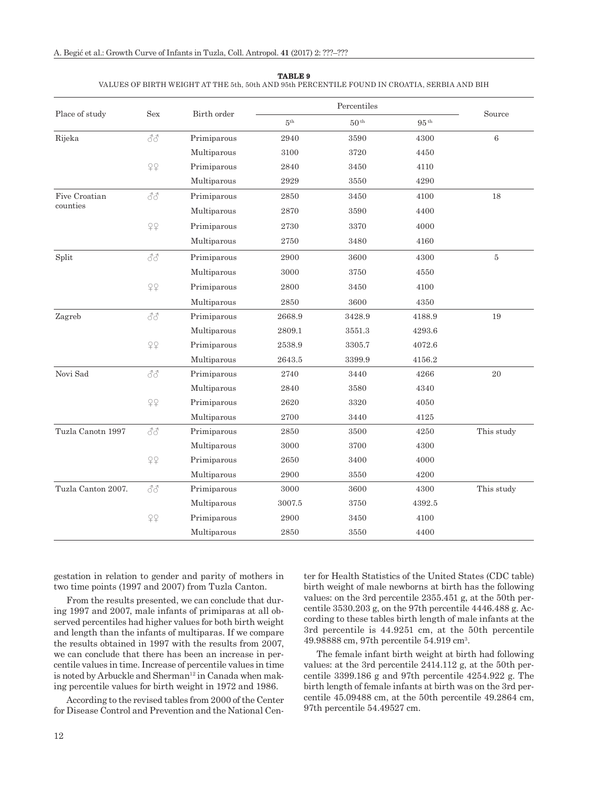|                    |                           | Birth order |                     | Percentiles      |                  |            |
|--------------------|---------------------------|-------------|---------------------|------------------|------------------|------------|
| Place of study     | Sex                       |             | 5 <sup>th</sup>     | 50 <sup>th</sup> | 95 <sup>th</sup> | Source     |
| Rijeka             | 88                        | Primiparous | 2940                | 3590             | 4300             | $\,6\,$    |
|                    |                           | Multiparous | 3100                | 3720             | 4450             |            |
|                    | 99                        | Primiparous | 2840                | 3450             | 4110             |            |
|                    |                           | Multiparous | 2929                | 3550             | 4290             |            |
| Five Croatian      | 88                        | Primiparous | 2850                | 3450             | 4100             | 18         |
| counties           |                           | Multiparous | 2870                | 3590             | 4400             |            |
|                    | 29                        | Primiparous | $\boldsymbol{2730}$ | 3370             | 4000             |            |
|                    |                           | Multiparous | 2750                | 3480             | 4160             |            |
| Split              | 88                        | Primiparous | 2900                | 3600             | 4300             | $\bf 5$    |
|                    |                           | Multiparous | 3000                | 3750             | 4550             |            |
|                    | 29                        | Primiparous | 2800                | 3450             | 4100             |            |
|                    |                           | Multiparous | 2850                | 3600             | 4350             |            |
| Zagreb             | $\mathcal{S}\mathcal{S}$  | Primiparous | 2668.9              | 3428.9           | 4188.9           | 19         |
|                    |                           | Multiparous | 2809.1              | 3551.3           | 4293.6           |            |
|                    | 29                        | Primiparous | 2538.9              | 3305.7           | 4072.6           |            |
|                    |                           | Multiparous | 2643.5              | 3399.9           | 4156.2           |            |
| Novi Sad           | 88                        | Primiparous | 2740                | 3440             | 4266             | 20         |
|                    |                           | Multiparous | 2840                | 3580             | 4340             |            |
|                    | $\mathcal{Q} \mathcal{Q}$ | Primiparous | 2620                | 3320             | 4050             |            |
|                    |                           | Multiparous | 2700                | 3440             | 4125             |            |
| Tuzla Canotn 1997  | 88                        | Primiparous | $2850\,$            | 3500             | 4250             | This study |
|                    |                           | Multiparous | 3000                | 3700             | 4300             |            |
|                    | 99                        | Primiparous | 2650                | 3400             | 4000             |            |
|                    |                           | Multiparous | 2900                | 3550             | 4200             |            |
| Tuzla Canton 2007. | 88                        | Primiparous | 3000                | 3600             | 4300             | This study |
|                    |                           | Multiparous | 3007.5              | 3750             | 4392.5           |            |
|                    | 29                        | Primiparous | 2900                | 3450             | 4100             |            |
|                    |                           | Multiparous | 2850                | 3550             | 4400             |            |

**TABLE 9**

VALUES OF BIRTH WEIGHT AT THE 5th, 50th AND 95th PERCENTILE FOUND IN CROATIA, SERBIA AND BIH

gestation in relation to gender and parity of mothers in two time points (1997 and 2007) from Tuzla Canton.

From the results presented, we can conclude that during 1997 and 2007, male infants of primiparas at all observed percentiles had higher values for both birth weight and length than the infants of multiparas. If we compare the results obtained in 1997 with the results from 2007, we can conclude that there has been an increase in percentile values in time. Increase of percentile values in time is noted by Arbuckle and Sherman<sup>12</sup> in Canada when making percentile values for birth weight in 1972 and 1986.

According to the revised tables from 2000 of the Center for Disease Control and Prevention and the National Center for Health Statistics of the United States (CDC table) birth weight of male newborns at birth has the following values: on the 3rd percentile 2355.451 g, at the 50th percentile 3530.203 g, on the 97th percentile 4446.488 g. According to these tables birth length of male infants at the 3rd percentile is 44.9251 cm, at the 50th percentile 49.98888 cm, 97th percentile 54.919 cm3.

The female infant birth weight at birth had following values: at the 3rd percentile 2414.112 g, at the 50th percentile 3399.186 g and 97th percentile 4254.922 g. The birth length of female infants at birth was on the 3rd percentile 45.09488 cm, at the 50th percentile 49.2864 cm, 97th percentile 54.49527 cm.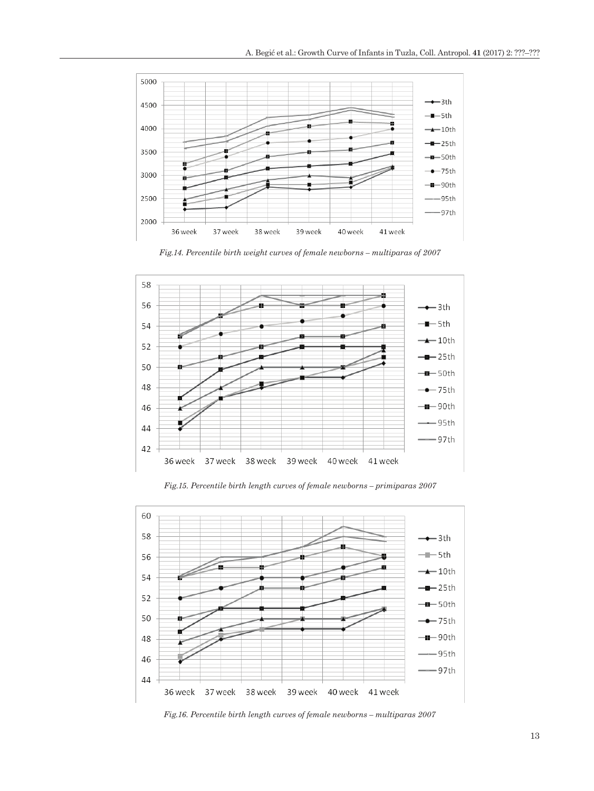

*Fig.14. Percentile birth weight curves of female newborns – multiparas of 2007*



*Fig.15. Percentile birth length curves of female newborns – primiparas 2007*



*Fig.16. Percentile birth length curves of female newborns – multiparas 2007*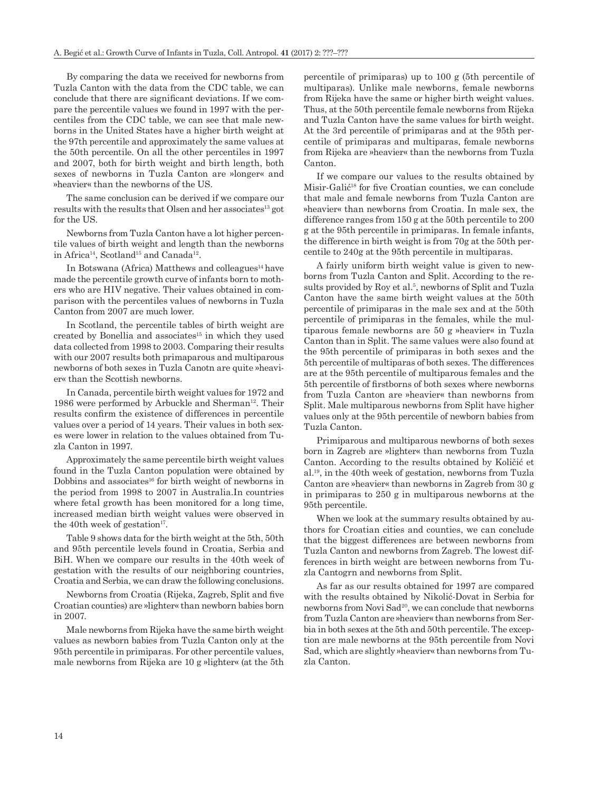By comparing the data we received for newborns from Tuzla Canton with the data from the CDC table, we can conclude that there are significant deviations. If we compare the percentile values we found in 1997 with the percentiles from the CDC table, we can see that male newborns in the United States have a higher birth weight at the 97th percentile and approximately the same values at the 50th percentile. On all the other percentiles in 1997 and 2007, both for birth weight and birth length, both sexes of newborns in Tuzla Canton are »longer« and »heavier« than the newborns of the US.

The same conclusion can be derived if we compare our results with the results that Olsen and her associates<sup>13</sup> got for the US.

Newborns from Tuzla Canton have a lot higher percentile values of birth weight and length than the newborns in Africa<sup>14</sup>, Scotland<sup>15</sup> and Canada<sup>12</sup>.

In Botswana (Africa) Matthews and colleagues<sup>14</sup> have made the percentile growth curve of infants born to mothers who are HIV negative. Their values obtained in comparison with the percentiles values of newborns in Tuzla Canton from 2007 are much lower.

In Scotland, the percentile tables of birth weight are created by Bonellia and associates<sup>15</sup> in which they used data collected from 1998 to 2003. Comparing their results with our 2007 results both primaparous and multiparous newborns of both sexes in Tuzla Canotn are quite »heavier« than the Scottish newborns.

In Canada, percentile birth weight values for 1972 and 1986 were performed by Arbuckle and Sherman<sup>12</sup>. Their results confirm the existence of differences in percentile values over a period of 14 years. Their values in both sexes were lower in relation to the values obtained from Tuzla Canton in 1997.

Approximately the same percentile birth weight values found in the Tuzla Canton population were obtained by Dobbins and associates<sup>16</sup> for birth weight of newborns in the period from 1998 to 2007 in Australia.In countries where fetal growth has been monitored for a long time, increased median birth weight values were observed in the 40th week of gestation $17$ .

Table 9 shows data for the birth weight at the 5th, 50th and 95th percentile levels found in Croatia, Serbia and BiH. When we compare our results in the 40th week of gestation with the results of our neighboring countries, Croatia and Serbia, we can draw the following conclusions.

Newborns from Croatia (Rijeka, Zagreb, Split and five Croatian counties) are »lighter« than newborn babies born in 2007.

Male newborns from Rijeka have the same birth weight values as newborn babies from Tuzla Canton only at the 95th percentile in primiparas. For other percentile values, male newborns from Rijeka are 10 g »lighter« (at the 5th percentile of primiparas) up to 100 g (5th percentile of multiparas). Unlike male newborns, female newborns from Rijeka have the same or higher birth weight values. Thus, at the 50th percentile female newborns from Rijeka and Tuzla Canton have the same values for birth weight. At the 3rd percentile of primiparas and at the 95th percentile of primiparas and multiparas, female newborns from Rijeka are »heavier« than the newborns from Tuzla Canton.

If we compare our values to the results obtained by Misir-Galić18 for five Croatian counties, we can conclude that male and female newborns from Tuzla Canton are »heavier« than newborns from Croatia. In male sex, the difference ranges from 150 g at the 50th percentile to 200 g at the 95th percentile in primiparas. In female infants, the difference in birth weight is from 70g at the 50th percentile to 240g at the 95th percentile in multiparas.

A fairly uniform birth weight value is given to newborns from Tuzla Canton and Split. According to the results provided by Roy et al.<sup>5</sup>, newborns of Split and Tuzla Canton have the same birth weight values at the 50th percentile of primiparas in the male sex and at the 50th percentile of primiparas in the females, while the multiparous female newborns are 50 g »heavier« in Tuzla Canton than in Split. The same values were also found at the 95th percentile of primiparas in both sexes and the 5th percentile of multiparas of both sexes. The differences are at the 95th percentile of multiparous females and the 5th percentile of firstborns of both sexes where newborns from Tuzla Canton are »heavier« than newborns from Split. Male multiparous newborns from Split have higher values only at the 95th percentile of newborn babies from Tuzla Canton.

Primiparous and multiparous newborns of both sexes born in Zagreb are »lighter« than newborns from Tuzla Canton. According to the results obtained by Količić et al.19, in the 40th week of gestation, newborns from Tuzla Canton are »heavier« than newborns in Zagreb from 30 g in primiparas to 250 g in multiparous newborns at the 95th percentile.

When we look at the summary results obtained by authors for Croatian cities and counties, we can conclude that the biggest differences are between newborns from Tuzla Canton and newborns from Zagreb. The lowest differences in birth weight are between newborns from Tuzla Cantogrn and newborns from Split.

As far as our results obtained for 1997 are compared with the results obtained by Nikolić-Dovat in Serbia for newborns from Novi Sad<sup>20</sup>, we can conclude that newborns from Tuzla Canton are »heavier« than newborns from Serbia in both sexes at the 5th and 50th percentile. The exception are male newborns at the 95th percentile from Novi Sad, which are slightly »heavier« than newborns from Tuzla Canton.